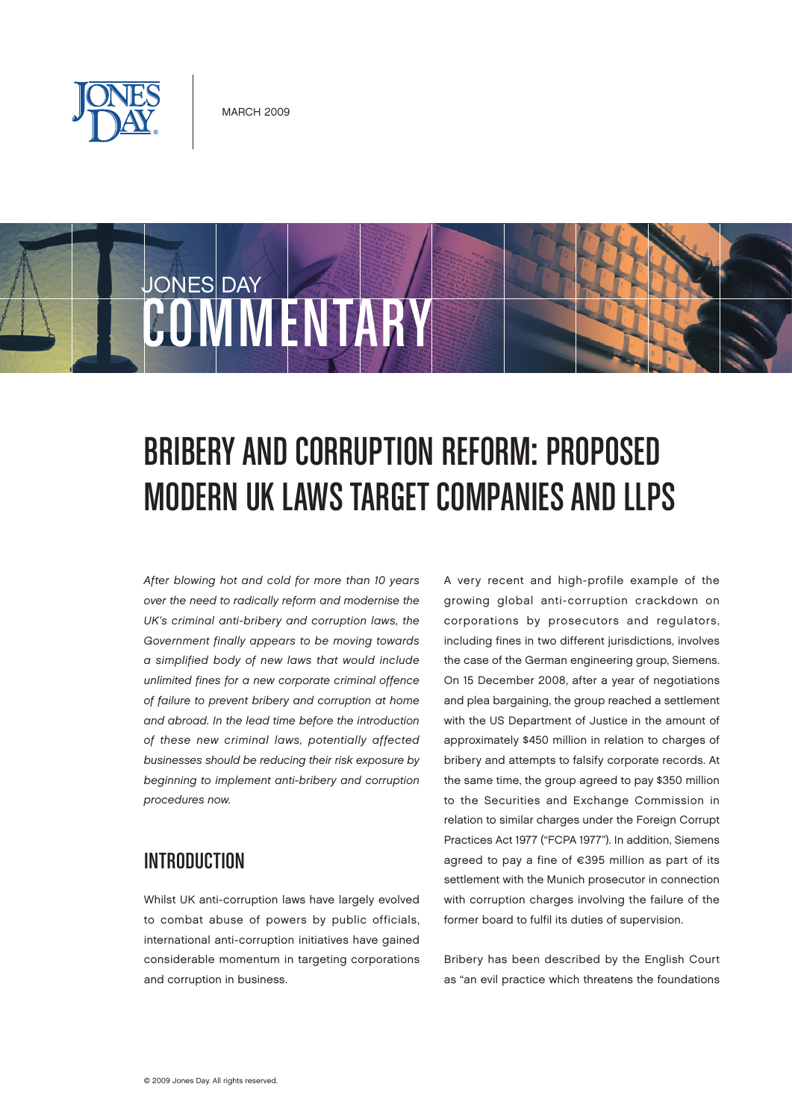

COMMUNISTS

JONES DAY

# Bribery and Corruption Reform: Proposed

## MODERN UK LAWS TARGET COMPANIES AND LLPS

After blowing hot and cold for more than 10 years over the need to radically reform and modernise the UK's criminal anti-bribery and corruption laws, the Government finally appears to be moving towards a simplified body of new laws that would include unlimited fines for a new corporate criminal offence of failure to prevent bribery and corruption at home and abroad. In the lead time before the introduction of these new criminal laws, potentially affected businesses should be reducing their risk exposure by beginning to implement anti-bribery and corruption procedures now.

#### **INTRODUCTION**

Whilst UK anti-corruption laws have largely evolved to combat abuse of powers by public officials, international anti-corruption initiatives have gained considerable momentum in targeting corporations and corruption in business.

A very recent and high-profile example of the growing global anti-corruption crackdown on corporations by prosecutors and regulators, including fines in two different jurisdictions, involves the case of the German engineering group, Siemens. On 15 December 2008, after a year of negotiations and plea bargaining, the group reached a settlement with the US Department of Justice in the amount of approximately \$450 million in relation to charges of bribery and attempts to falsify corporate records. At the same time, the group agreed to pay \$350 million to the Securities and Exchange Commission in relation to similar charges under the Foreign Corrupt Practices Act 1977 ("FCPA 1977"). In addition, Siemens agreed to pay a fine of €395 million as part of its settlement with the Munich prosecutor in connection with corruption charges involving the failure of the former board to fulfil its duties of supervision.

Bribery has been described by the English Court as "an evil practice which threatens the foundations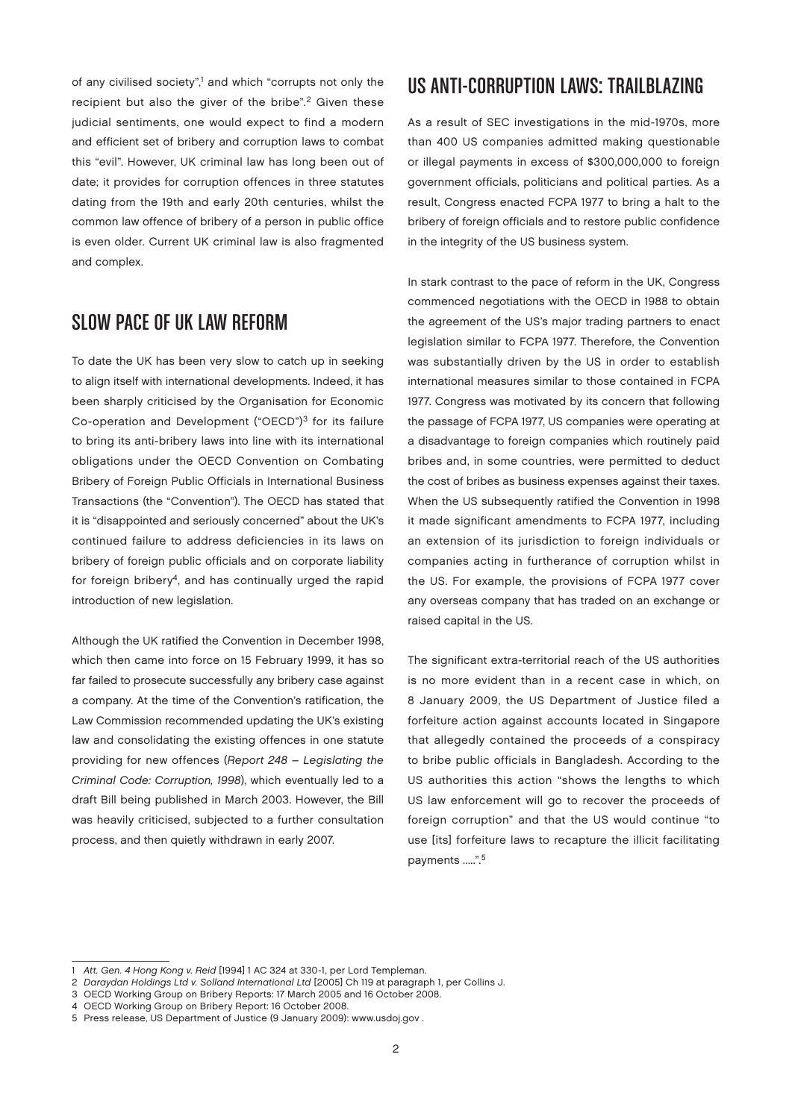of any civilised society",<sup>1</sup> and which "corrupts not only the recipient but also the giver of the bribe".<sup>2</sup> Given these judicial sentiments, one would expect to find a modern and efficient set of bribery and corruption laws to combat this "evil". However, UK criminal law has long been out of date; it provides for corruption offences in three statutes dating from the 19th and early 20th centuries, whilst the common law offence of bribery of a person in public office is even older. Current UK criminal law is also fragmented and complex.

#### Slow pace of UK law reform

To date the UK has been very slow to catch up in seeking to align itself with international developments. Indeed, it has been sharply criticised by the Organisation for Economic Co-operation and Development ("OECD")3 for its failure to bring its anti-bribery laws into line with its international obligations under the OECD Convention on Combating Bribery of Foreign Public Officials in International Business Transactions (the "Convention"). The OECD has stated that it is "disappointed and seriously concerned" about the UK's continued failure to address deficiencies in its laws on bribery of foreign public officials and on corporate liability for foreign bribery<sup>4</sup>, and has continually urged the rapid introduction of new legislation.

Although the UK ratified the Convention in December 1998, which then came into force on 15 February 1999, it has so far failed to prosecute successfully any bribery case against a company. At the time of the Convention's ratification, the Law Commission recommended updating the UK's existing law and consolidating the existing offences in one statute providing for new offences (Report 248 – Legislating the Criminal Code: Corruption, 1998), which eventually led to a draft Bill being published in March 2003. However, the Bill was heavily criticised, subjected to a further consultation process, and then quietly withdrawn in early 2007.

#### US ANTI-CORRUPTION LAWS: TRAILBLAZING

As a result of SEC investigations in the mid-1970s, more than 400 US companies admitted making questionable or illegal payments in excess of \$300,000,000 to foreign government officials, politicians and political parties. As a result, Congress enacted FCPA 1977 to bring a halt to the bribery of foreign officials and to restore public confidence in the integrity of the US business system.

In stark contrast to the pace of reform in the UK, Congress commenced negotiations with the OECD in 1988 to obtain the agreement of the US's major trading partners to enact legislation similar to FCPA 1977. Therefore, the Convention was substantially driven by the US in order to establish international measures similar to those contained in FCPA 1977. Congress was motivated by its concern that following the passage of FCPA 1977, US companies were operating at a disadvantage to foreign companies which routinely paid bribes and, in some countries, were permitted to deduct the cost of bribes as business expenses against their taxes. When the US subsequently ratified the Convention in 1998 it made significant amendments to FCPA 1977, including an extension of its jurisdiction to foreign individuals or companies acting in furtherance of corruption whilst in the US. For example, the provisions of FCPA 1977 cover any overseas company that has traded on an exchange or raised capital in the US.

The significant extra-territorial reach of the US authorities is no more evident than in a recent case in which, on 8 January 2009, the US Department of Justice filed a forfeiture action against accounts located in Singapore that allegedly contained the proceeds of a conspiracy to bribe public officials in Bangladesh. According to the US authorities this action "shows the lengths to which US law enforcement will go to recover the proceeds of foreign corruption" and that the US would continue "to use [its] forfeiture laws to recapture the illicit facilitating payments .....".<sup>5</sup>

<sup>1</sup> Att. Gen. 4 Hong Kong v. Reid [1994] 1 AC 324 at 330-1, per Lord Templeman.

<sup>2</sup> Daraydan Holdings Ltd v. Solland International Ltd [2005] Ch 119 at paragraph 1, per Collins J.

<sup>3</sup> OECD Working Group on Bribery Reports: 17 March 2005 and 16 October 2008.

<sup>4</sup> OECD Working Group on Bribery Report: 16 October 2008.

<sup>5</sup> Press release, US Department of Justice (9 January 2009): [www.usdoj.gov .](http://www.usdoj.gov)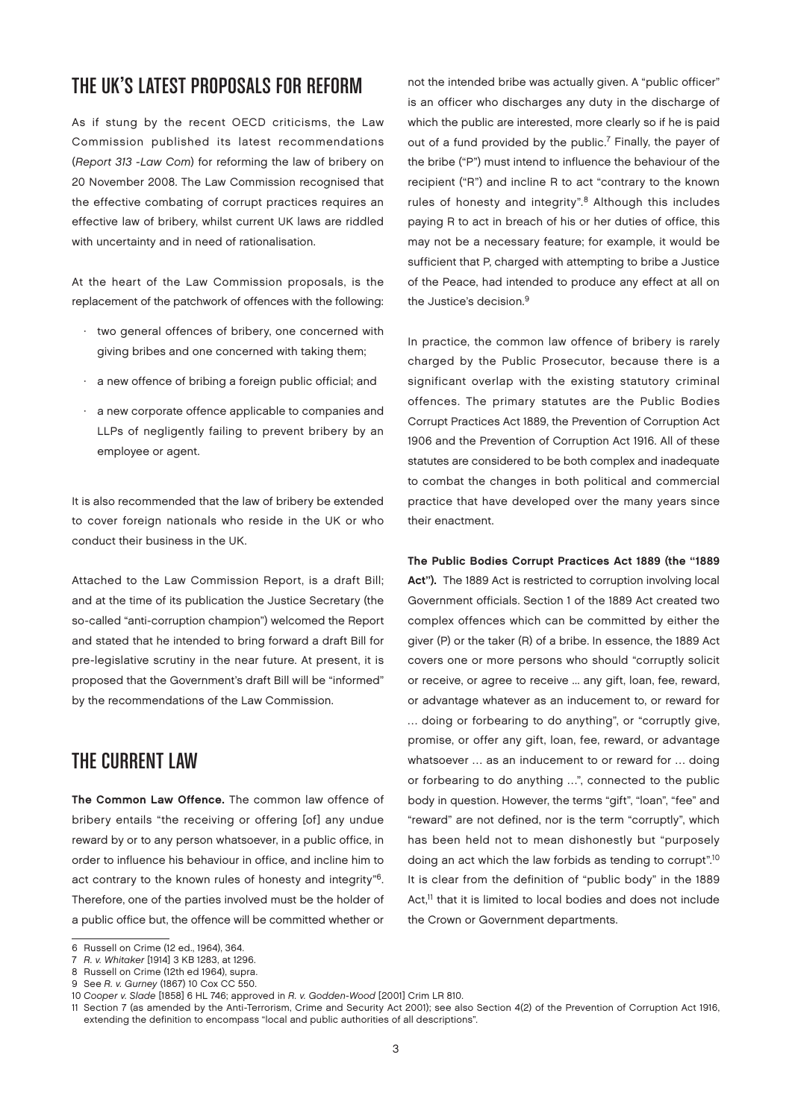#### The UK's latest proposals for reform

As if stung by the recent OECD criticisms, the Law Commission published its latest recommendations (Report 313 -Law Com) for reforming the law of bribery on 20 November 2008. The Law Commission recognised that the effective combating of corrupt practices requires an effective law of bribery, whilst current UK laws are riddled with uncertainty and in need of rationalisation.

At the heart of the Law Commission proposals, is the replacement of the patchwork of offences with the following:

- · two general offences of bribery, one concerned with giving bribes and one concerned with taking them;
- · a new offence of bribing a foreign public official; and
- · a new corporate offence applicable to companies and LLPs of negligently failing to prevent bribery by an employee or agent.

It is also recommended that the law of bribery be extended to cover foreign nationals who reside in the UK or who conduct their business in the UK.

Attached to the Law Commission Report, is a draft Bill; and at the time of its publication the Justice Secretary (the so-called "anti-corruption champion") welcomed the Report and stated that he intended to bring forward a draft Bill for pre-legislative scrutiny in the near future. At present, it is proposed that the Government's draft Bill will be "informed" by the recommendations of the Law Commission.

#### THE CURRENT LAW

The Common Law Offence. The common law offence of bribery entails "the receiving or offering [of] any undue reward by or to any person whatsoever, in a public office, in order to influence his behaviour in office, and incline him to act contrary to the known rules of honesty and integrity"6. Therefore, one of the parties involved must be the holder of a public office but, the offence will be committed whether or

not the intended bribe was actually given. A "public officer" is an officer who discharges any duty in the discharge of which the public are interested, more clearly so if he is paid out of a fund provided by the public.<sup>7</sup> Finally, the payer of the bribe ("P") must intend to influence the behaviour of the recipient ("R") and incline R to act "contrary to the known rules of honesty and integrity".<sup>8</sup> Although this includes paying R to act in breach of his or her duties of office, this may not be a necessary feature; for example, it would be sufficient that P, charged with attempting to bribe a Justice of the Peace, had intended to produce any effect at all on the Justice's decision.<sup>9</sup>

In practice, the common law offence of bribery is rarely charged by the Public Prosecutor, because there is a significant overlap with the existing statutory criminal offences. The primary statutes are the Public Bodies Corrupt Practices Act 1889, the Prevention of Corruption Act 1906 and the Prevention of Corruption Act 1916. All of these statutes are considered to be both complex and inadequate to combat the changes in both political and commercial practice that have developed over the many years since their enactment.

The Public Bodies Corrupt Practices Act 1889 (the "1889 Act"). The 1889 Act is restricted to corruption involving local Government officials. Section 1 of the 1889 Act created two complex offences which can be committed by either the giver (P) or the taker (R) of a bribe. In essence, the 1889 Act covers one or more persons who should "corruptly solicit or receive, or agree to receive ... any gift, loan, fee, reward, or advantage whatever as an inducement to, or reward for … doing or forbearing to do anything", or "corruptly give, promise, or offer any gift, loan, fee, reward, or advantage whatsoever … as an inducement to or reward for … doing or forbearing to do anything …", connected to the public body in question. However, the terms "gift", "loan", "fee" and "reward" are not defined, nor is the term "corruptly", which has been held not to mean dishonestly but "purposely doing an act which the law forbids as tending to corrupt".10 It is clear from the definition of "public body" in the 1889 Act.<sup>11</sup> that it is limited to local bodies and does not include the Crown or Government departments.

<sup>6</sup> Russell on Crime (12 ed., 1964), 364.

<sup>7</sup> R. v. Whitaker [1914] 3 KB 1283, at 1296.

<sup>8</sup> Russell on Crime (12th ed 1964), supra.

<sup>9</sup> See R. v. Gurney (1867) 10 Cox CC 550.

<sup>10</sup> Cooper v. Slade [1858] 6 HL 746; approved in R. v. Godden-Wood [2001] Crim LR 810.

<sup>11</sup> Section 7 (as amended by the Anti-Terrorism, Crime and Security Act 2001); see also Section 4(2) of the Prevention of Corruption Act 1916, extending the definition to encompass "local and public authorities of all descriptions".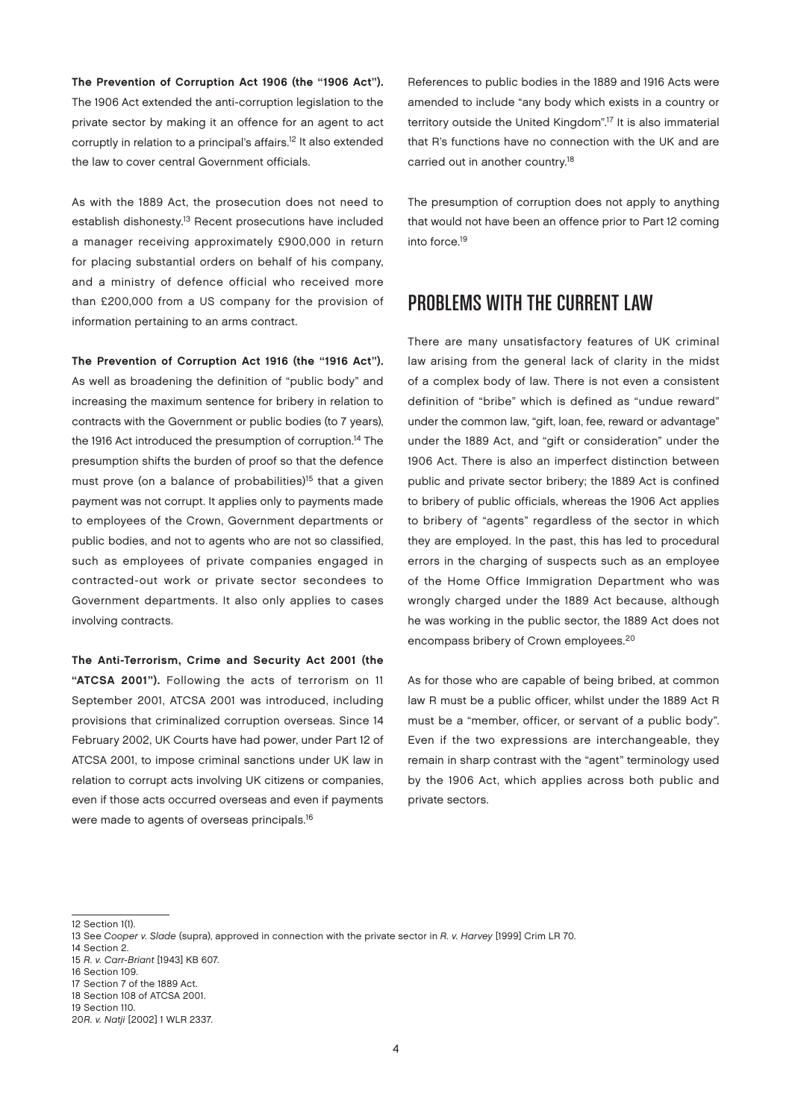The Prevention of Corruption Act 1906 (the "1906 Act"). The 1906 Act extended the anti-corruption legislation to the private sector by making it an offence for an agent to act corruptly in relation to a principal's affairs.12 It also extended the law to cover central Government officials.

As with the 1889 Act, the prosecution does not need to establish dishonesty.13 Recent prosecutions have included a manager receiving approximately £900,000 in return for placing substantial orders on behalf of his company, and a ministry of defence official who received more than £200,000 from a US company for the provision of information pertaining to an arms contract.

The Prevention of Corruption Act 1916 (the "1916 Act"). As well as broadening the definition of "public body" and increasing the maximum sentence for bribery in relation to contracts with the Government or public bodies (to 7 years), the 1916 Act introduced the presumption of corruption.<sup>14</sup> The presumption shifts the burden of proof so that the defence must prove (on a balance of probabilities)<sup>15</sup> that a given payment was not corrupt. It applies only to payments made to employees of the Crown, Government departments or public bodies, and not to agents who are not so classified, such as employees of private companies engaged in contracted-out work or private sector secondees to Government departments. It also only applies to cases involving contracts.

The Anti-Terrorism, Crime and Security Act 2001 (the "ATCSA 2001"). Following the acts of terrorism on 11 September 2001, ATCSA 2001 was introduced, including provisions that criminalized corruption overseas. Since 14 February 2002, UK Courts have had power, under Part 12 of ATCSA 2001, to impose criminal sanctions under UK law in relation to corrupt acts involving UK citizens or companies, even if those acts occurred overseas and even if payments were made to agents of overseas principals.<sup>16</sup>

References to public bodies in the 1889 and 1916 Acts were amended to include "any body which exists in a country or territory outside the United Kingdom".17 It is also immaterial that R's functions have no connection with the UK and are carried out in another country.18

The presumption of corruption does not apply to anything that would not have been an offence prior to Part 12 coming into force.19

#### Problems with the current law

There are many unsatisfactory features of UK criminal law arising from the general lack of clarity in the midst of a complex body of law. There is not even a consistent definition of "bribe" which is defined as "undue reward" under the common law, "gift, loan, fee, reward or advantage" under the 1889 Act, and "gift or consideration" under the 1906 Act. There is also an imperfect distinction between public and private sector bribery; the 1889 Act is confined to bribery of public officials, whereas the 1906 Act applies to bribery of "agents" regardless of the sector in which they are employed. In the past, this has led to procedural errors in the charging of suspects such as an employee of the Home Office Immigration Department who was wrongly charged under the 1889 Act because, although he was working in the public sector, the 1889 Act does not encompass bribery of Crown employees.20

As for those who are capable of being bribed, at common law R must be a public officer, whilst under the 1889 Act R must be a "member, officer, or servant of a public body". Even if the two expressions are interchangeable, they remain in sharp contrast with the "agent" terminology used by the 1906 Act, which applies across both public and private sectors.

17 Section 7 of the 1889 Act. 18 Section 108 of ATCSA 2001.

<sup>12</sup> Section 1(1).

<sup>13</sup> See Cooper v. Slade (supra), approved in connection with the private sector in R. v. Harvey [1999] Crim LR 70.

<sup>14</sup> Section 2.

<sup>15</sup> R. v. Carr-Briant [1943] KB 607.

<sup>16</sup> Section 109.

<sup>19</sup> Section 110.

<sup>20</sup>R. v. Natji [2002] 1 WLR 2337.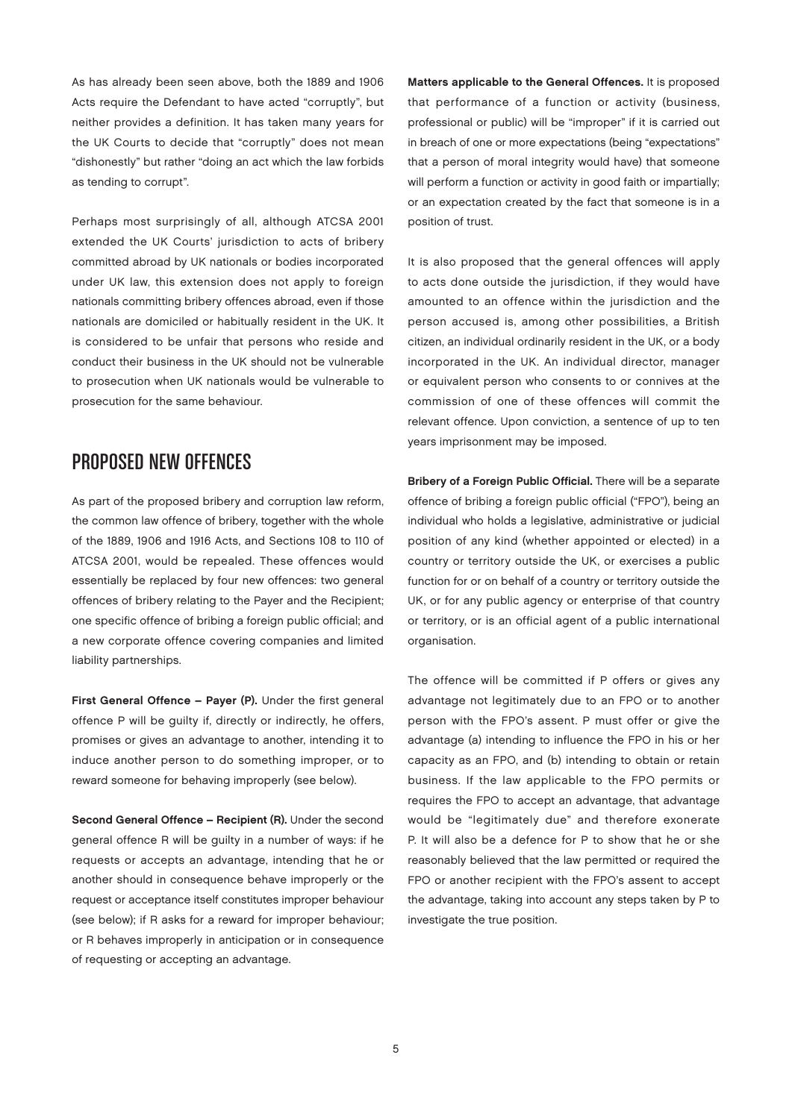As has already been seen above, both the 1889 and 1906 Acts require the Defendant to have acted "corruptly", but neither provides a definition. It has taken many years for the UK Courts to decide that "corruptly" does not mean "dishonestly" but rather "doing an act which the law forbids as tending to corrupt".

Perhaps most surprisingly of all, although ATCSA 2001 extended the UK Courts' jurisdiction to acts of bribery committed abroad by UK nationals or bodies incorporated under UK law, this extension does not apply to foreign nationals committing bribery offences abroad, even if those nationals are domiciled or habitually resident in the UK. It is considered to be unfair that persons who reside and conduct their business in the UK should not be vulnerable to prosecution when UK nationals would be vulnerable to prosecution for the same behaviour.

#### Proposed new offences

As part of the proposed bribery and corruption law reform, the common law offence of bribery, together with the whole of the 1889, 1906 and 1916 Acts, and Sections 108 to 110 of ATCSA 2001, would be repealed. These offences would essentially be replaced by four new offences: two general offences of bribery relating to the Payer and the Recipient; one specific offence of bribing a foreign public official; and a new corporate offence covering companies and limited liability partnerships.

First General Offence – Payer (P). Under the first general offence P will be guilty if, directly or indirectly, he offers, promises or gives an advantage to another, intending it to induce another person to do something improper, or to reward someone for behaving improperly (see below).

Second General Offence – Recipient (R). Under the second general offence R will be guilty in a number of ways: if he requests or accepts an advantage, intending that he or another should in consequence behave improperly or the request or acceptance itself constitutes improper behaviour (see below); if R asks for a reward for improper behaviour; or R behaves improperly in anticipation or in consequence of requesting or accepting an advantage.

Matters applicable to the General Offences. It is proposed that performance of a function or activity (business, professional or public) will be "improper" if it is carried out in breach of one or more expectations (being "expectations" that a person of moral integrity would have) that someone will perform a function or activity in good faith or impartially; or an expectation created by the fact that someone is in a position of trust.

It is also proposed that the general offences will apply to acts done outside the jurisdiction, if they would have amounted to an offence within the jurisdiction and the person accused is, among other possibilities, a British citizen, an individual ordinarily resident in the UK, or a body incorporated in the UK. An individual director, manager or equivalent person who consents to or connives at the commission of one of these offences will commit the relevant offence. Upon conviction, a sentence of up to ten years imprisonment may be imposed.

Bribery of a Foreign Public Official. There will be a separate offence of bribing a foreign public official ("FPO"), being an individual who holds a legislative, administrative or judicial position of any kind (whether appointed or elected) in a country or territory outside the UK, or exercises a public function for or on behalf of a country or territory outside the UK, or for any public agency or enterprise of that country or territory, or is an official agent of a public international organisation.

The offence will be committed if P offers or gives any advantage not legitimately due to an FPO or to another person with the FPO's assent. P must offer or give the advantage (a) intending to influence the FPO in his or her capacity as an FPO, and (b) intending to obtain or retain business. If the law applicable to the FPO permits or requires the FPO to accept an advantage, that advantage would be "legitimately due" and therefore exonerate P. It will also be a defence for P to show that he or she reasonably believed that the law permitted or required the FPO or another recipient with the FPO's assent to accept the advantage, taking into account any steps taken by P to investigate the true position.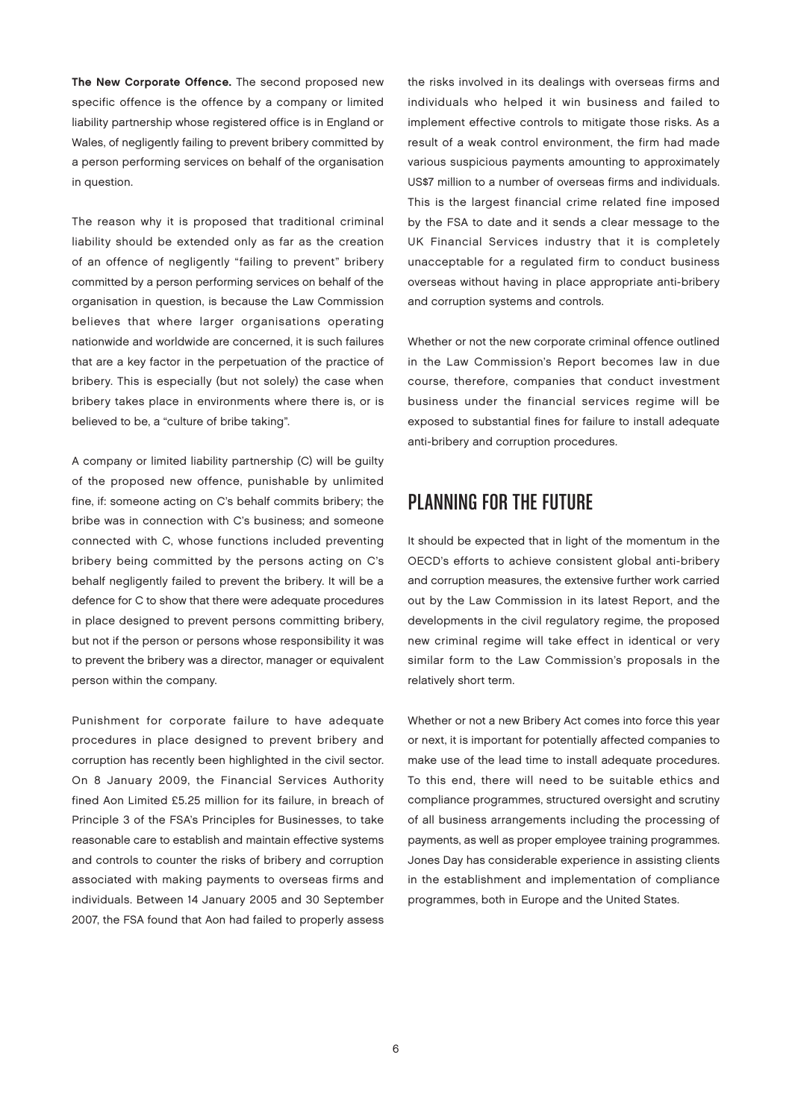The New Corporate Offence. The second proposed new specific offence is the offence by a company or limited liability partnership whose registered office is in England or Wales, of negligently failing to prevent bribery committed by a person performing services on behalf of the organisation in question.

The reason why it is proposed that traditional criminal liability should be extended only as far as the creation of an offence of negligently "failing to prevent" bribery committed by a person performing services on behalf of the organisation in question, is because the Law Commission believes that where larger organisations operating nationwide and worldwide are concerned, it is such failures that are a key factor in the perpetuation of the practice of bribery. This is especially (but not solely) the case when bribery takes place in environments where there is, or is believed to be, a "culture of bribe taking".

A company or limited liability partnership (C) will be guilty of the proposed new offence, punishable by unlimited fine, if: someone acting on C's behalf commits bribery; the bribe was in connection with C's business; and someone connected with C, whose functions included preventing bribery being committed by the persons acting on C's behalf negligently failed to prevent the bribery. It will be a defence for C to show that there were adequate procedures in place designed to prevent persons committing bribery, but not if the person or persons whose responsibility it was to prevent the bribery was a director, manager or equivalent person within the company.

Punishment for corporate failure to have adequate procedures in place designed to prevent bribery and corruption has recently been highlighted in the civil sector. On 8 January 2009, the Financial Services Authority fined Aon Limited £5.25 million for its failure, in breach of Principle 3 of the FSA's Principles for Businesses, to take reasonable care to establish and maintain effective systems and controls to counter the risks of bribery and corruption associated with making payments to overseas firms and individuals. Between 14 January 2005 and 30 September 2007, the FSA found that Aon had failed to properly assess

the risks involved in its dealings with overseas firms and individuals who helped it win business and failed to implement effective controls to mitigate those risks. As a result of a weak control environment, the firm had made various suspicious payments amounting to approximately US\$7 million to a number of overseas firms and individuals. This is the largest financial crime related fine imposed by the FSA to date and it sends a clear message to the UK Financial Services industry that it is completely unacceptable for a regulated firm to conduct business overseas without having in place appropriate anti-bribery and corruption systems and controls.

Whether or not the new corporate criminal offence outlined in the Law Commission's Report becomes law in due course, therefore, companies that conduct investment business under the financial services regime will be exposed to substantial fines for failure to install adequate anti-bribery and corruption procedures.

#### Planning for the Future

It should be expected that in light of the momentum in the OECD's efforts to achieve consistent global anti-bribery and corruption measures, the extensive further work carried out by the Law Commission in its latest Report, and the developments in the civil regulatory regime, the proposed new criminal regime will take effect in identical or very similar form to the Law Commission's proposals in the relatively short term.

Whether or not a new Bribery Act comes into force this year or next, it is important for potentially affected companies to make use of the lead time to install adequate procedures. To this end, there will need to be suitable ethics and compliance programmes, structured oversight and scrutiny of all business arrangements including the processing of payments, as well as proper employee training programmes. Jones Day has considerable experience in assisting clients in the establishment and implementation of compliance programmes, both in Europe and the United States.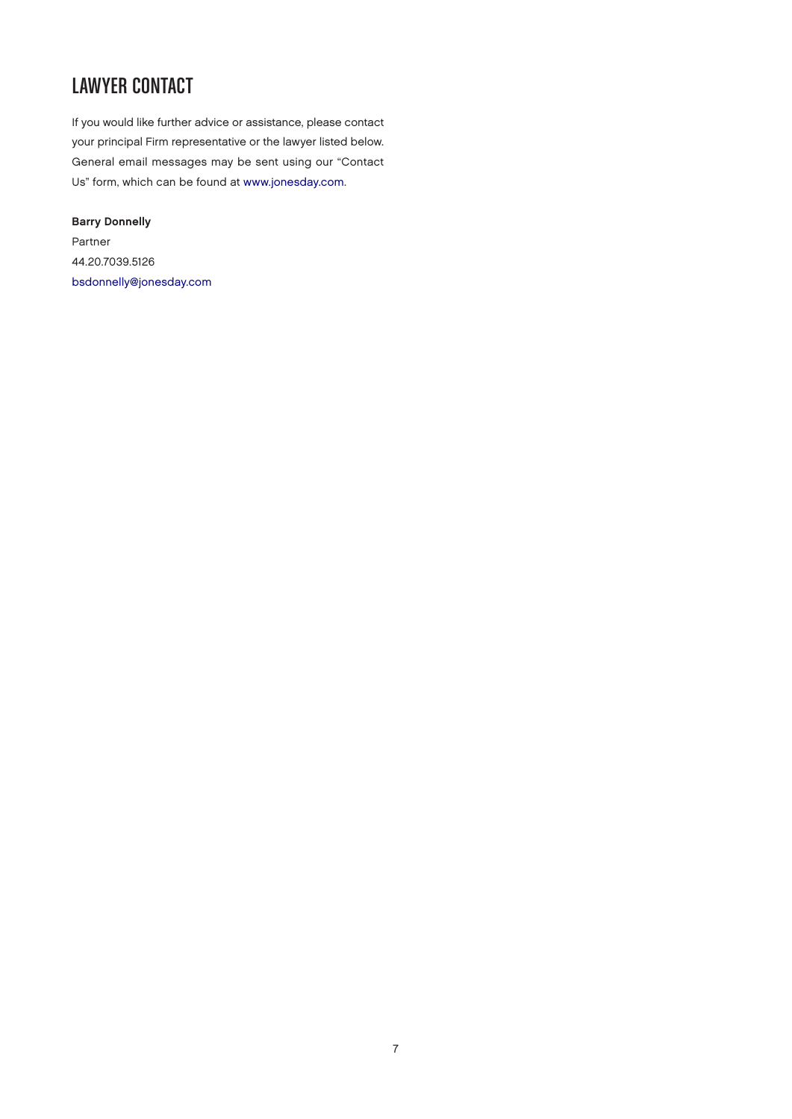### Lawyer Contact

If you would like further advice or assistance, please contact your principal Firm representative or the lawyer listed below. General email messages may be sent using our "Contact Us" form, which can be found at [www.jonesday.com.](http://www.jonesday.com)

Barry Donnelly Partner 44.20.7039.5126 [bsdonnelly@jonesday.com](mailto:bsdonnelly@jonesday.com)